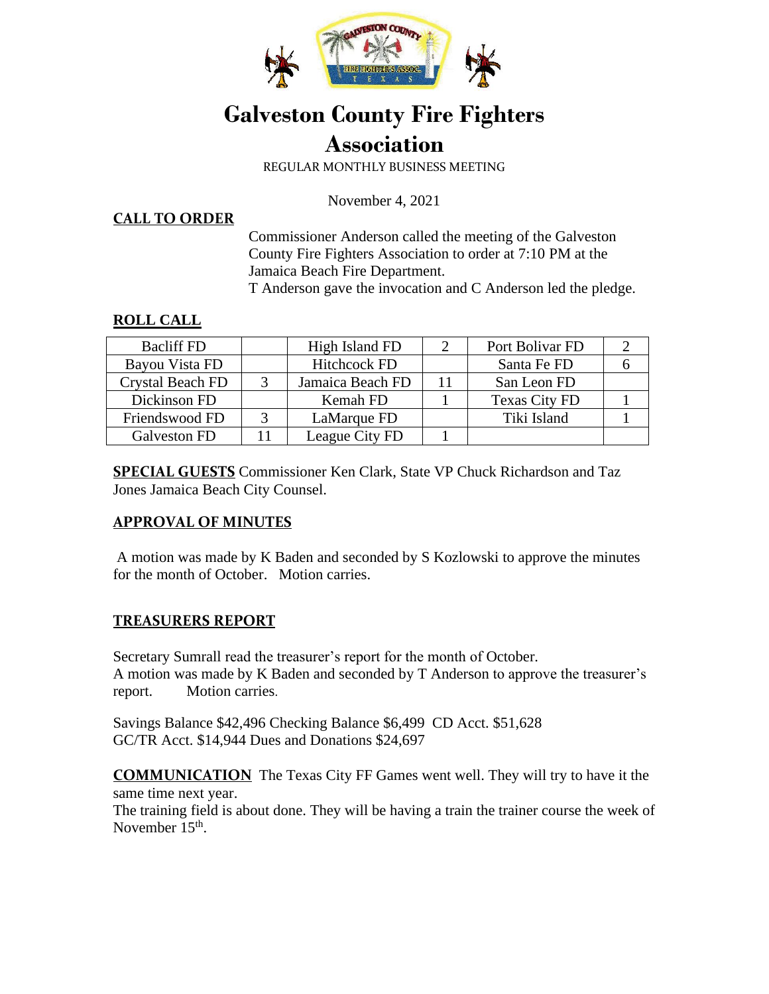

# **Galveston County Fire Fighters Association**

REGULAR MONTHLY BUSINESS MEETING

November 4, 2021

**CALL TO ORDER**

Commissioner Anderson called the meeting of the Galveston County Fire Fighters Association to order at 7:10 PM at the Jamaica Beach Fire Department.

T Anderson gave the invocation and C Anderson led the pledge.

### **ROLL CALL**

| <b>Bacliff FD</b> |   | High Island FD      |    | Port Bolivar FD      |  |
|-------------------|---|---------------------|----|----------------------|--|
| Bayou Vista FD    |   | <b>Hitchcock FD</b> |    | Santa Fe FD          |  |
| Crystal Beach FD  |   | Jamaica Beach FD    | 11 | San Leon FD          |  |
| Dickinson FD      |   | Kemah FD            |    | <b>Texas City FD</b> |  |
| Friendswood FD    | 2 | LaMarque FD         |    | Tiki Island          |  |
| Galveston FD      |   | League City FD      |    |                      |  |

**SPECIAL GUESTS** Commissioner Ken Clark, State VP Chuck Richardson and Taz Jones Jamaica Beach City Counsel.

#### **APPROVAL OF MINUTES**

A motion was made by K Baden and seconded by S Kozlowski to approve the minutes for the month of October. Motion carries.

## **TREASURERS REPORT**

Secretary Sumrall read the treasurer's report for the month of October. A motion was made by K Baden and seconded by T Anderson to approve the treasurer's report. Motion carries.

Savings Balance \$42,496 Checking Balance \$6,499 CD Acct. \$51,628 GC/TR Acct. \$14,944 Dues and Donations \$24,697

**COMMUNICATION** The Texas City FF Games went well. They will try to have it the same time next year.

The training field is about done. They will be having a train the trainer course the week of November 15<sup>th</sup>.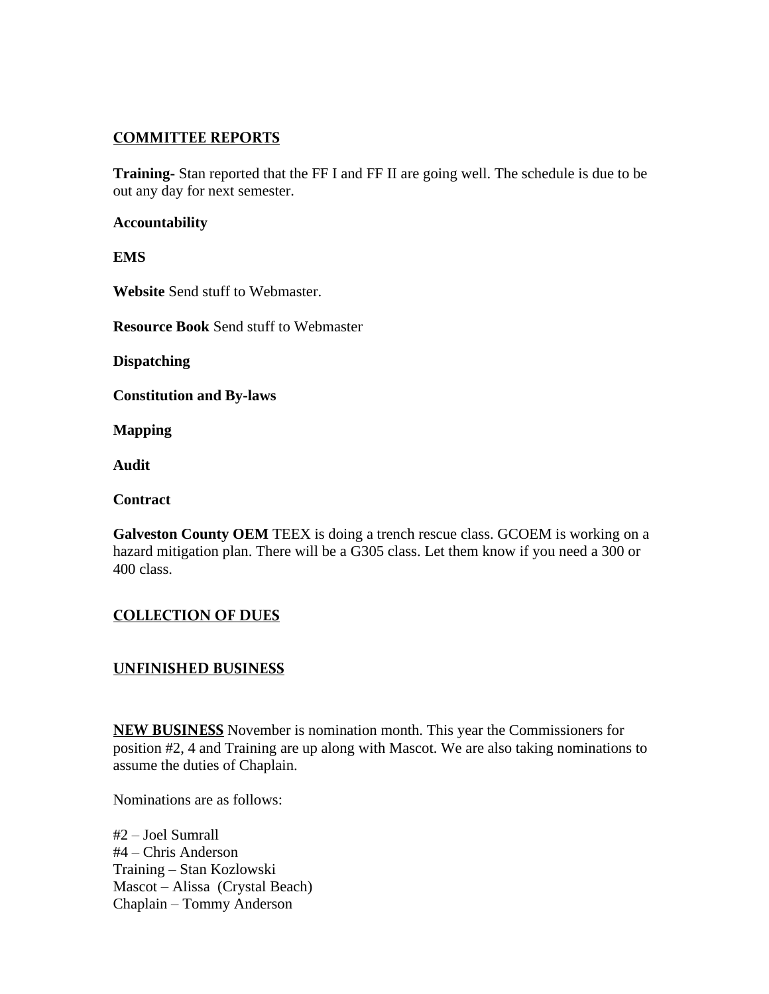## **COMMITTEE REPORTS**

**Training-** Stan reported that the FF I and FF II are going well. The schedule is due to be out any day for next semester.

#### **Accountability**

**EMS** 

**Website** Send stuff to Webmaster.

**Resource Book** Send stuff to Webmaster

**Dispatching** 

**Constitution and By-laws** 

**Mapping** 

**Audit** 

**Contract** 

Galveston County OEM TEEX is doing a trench rescue class. GCOEM is working on a hazard mitigation plan. There will be a G305 class. Let them know if you need a 300 or 400 class.

# **COLLECTION OF DUES**

# **UNFINISHED BUSINESS**

**NEW BUSINESS** November is nomination month. This year the Commissioners for position #2, 4 and Training are up along with Mascot. We are also taking nominations to assume the duties of Chaplain.

Nominations are as follows:

#2 – Joel Sumrall #4 – Chris Anderson Training – Stan Kozlowski Mascot – Alissa (Crystal Beach) Chaplain – Tommy Anderson